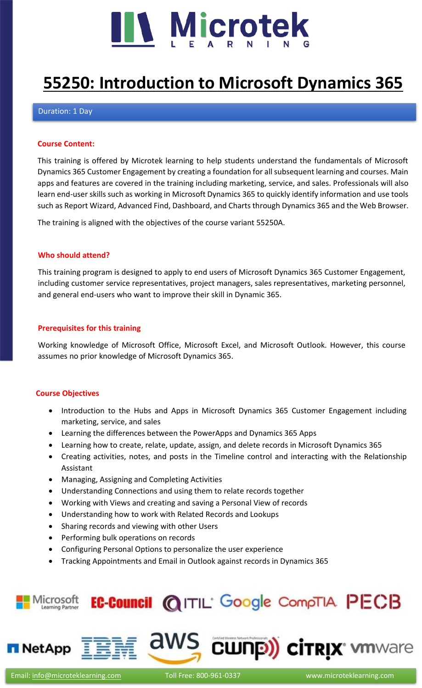

# **[55250: Introduction to Microsoft Dynamics 365](https://www.microteklearning.com/55250-introduction-to-microsoft-dynamics-365-fundamentals-training/)**

## Duration: 1 Day

## **Course Content:**

This training is offered by Microtek learning to help students understand the fundamentals of Microsoft Dynamics 365 Customer Engagement by creating a foundation for all subsequent learning and courses. Main apps and features are covered in the training including marketing, service, and sales. Professionals will also learn end-user skills such as working in Microsoft Dynamics 365 to quickly identify information and use tools such as Report Wizard, Advanced Find, Dashboard, and Charts through Dynamics 365 and the Web Browser.

The training is aligned with the objectives of the course variant 55250A.

## **Who should attend?**

This training program is designed to apply to end users of Microsoft Dynamics 365 Customer Engagement, including customer service representatives, project managers, sales representatives, marketing personnel, and general end-users who want to improve their skill in Dynamic 365.

## **Prerequisites for this training**

Working knowledge of Microsoft Office, Microsoft Excel, and Microsoft Outlook. However, this course assumes no prior knowledge of Microsoft Dynamics 365.

## **Course Objectives**

- Introduction to the Hubs and Apps in Microsoft Dynamics 365 Customer Engagement including marketing, service, and sales
- Learning the differences between the PowerApps and Dynamics 365 Apps
- Learning how to create, relate, update, assign, and delete records in Microsoft Dynamics 365
- Creating activities, notes, and posts in the Timeline control and interacting with the Relationship Assistant
- Managing, Assigning and Completing Activities
- Understanding Connections and using them to relate records together
- Working with Views and creating and saving a Personal View of records
- Understanding how to work with Related Records and Lookups
- Sharing records and viewing with other Users
- Performing bulk operations on records
- Configuring Personal Options to personalize the user experience
- Tracking Appointments and Email in Outlook against records in Dynamics 365





CWNP) citrix vmware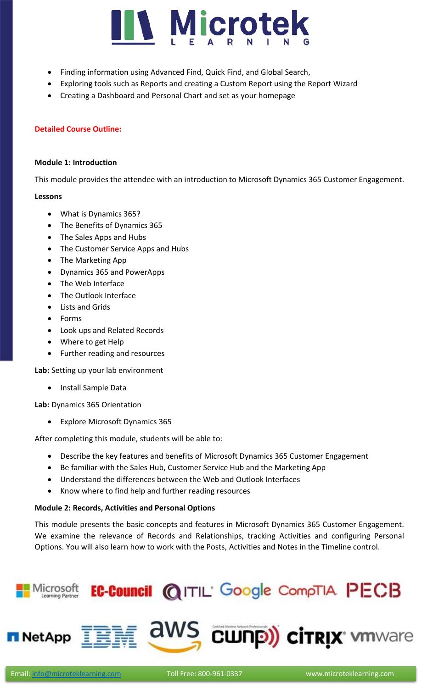

- Finding information using Advanced Find, Quick Find, and Global Search,
- Exploring tools such as Reports and creating a Custom Report using the Report Wizard
- Creating a Dashboard and Personal Chart and set as your homepage

# **Detailed Course Outline:**

## **Module 1: Introduction**

This module provides the attendee with an introduction to Microsoft Dynamics 365 Customer Engagement.

## **Lessons**

- What is Dynamics 365?
- The Benefits of Dynamics 365
- The Sales Apps and Hubs
- The Customer Service Apps and Hubs
- The Marketing App
- Dynamics 365 and PowerApps
- The Web Interface
- The Outlook Interface
- Lists and Grids
- Forms
- Look ups and Related Records
- Where to get Help
- Further reading and resources

**Lab:** Setting up your lab environment

• Install Sample Data

**Lab:** Dynamics 365 Orientation

• Explore Microsoft Dynamics 365

After completing this module, students will be able to:

- Describe the key features and benefits of Microsoft Dynamics 365 Customer Engagement
- Be familiar with the Sales Hub, Customer Service Hub and the Marketing App
- Understand the differences between the Web and Outlook Interfaces
- Know where to find help and further reading resources

# **Module 2: Records, Activities and Personal Options**

This module presents the basic concepts and features in Microsoft Dynamics 365 Customer Engagement. We examine the relevance of Records and Relationships, tracking Activities and configuring Personal Options. You will also learn how to work with the Posts, Activities and Notes in the Timeline control.

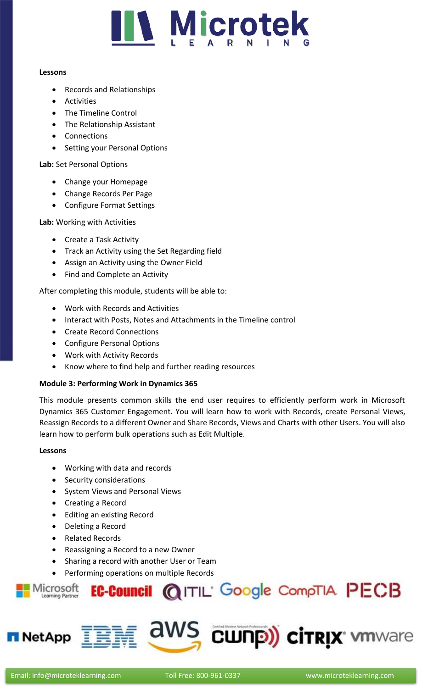

## **Lessons**

- Records and Relationships
- Activities
- The Timeline Control
- The Relationship Assistant
- Connections
- Setting your Personal Options

**Lab:** Set Personal Options

- Change your Homepage
- Change Records Per Page
- Configure Format Settings

**Lab:** Working with Activities

- Create a Task Activity
- Track an Activity using the Set Regarding field
- Assign an Activity using the Owner Field
- Find and Complete an Activity

After completing this module, students will be able to:

- Work with Records and Activities
- Interact with Posts, Notes and Attachments in the Timeline control
- Create Record Connections
- Configure Personal Options
- Work with Activity Records
- Know where to find help and further reading resources

# **Module 3: Performing Work in Dynamics 365**

This module presents common skills the end user requires to efficiently perform work in Microsoft Dynamics 365 Customer Engagement. You will learn how to work with Records, create Personal Views, Reassign Records to a different Owner and Share Records, Views and Charts with other Users. You will also learn how to perform bulk operations such as Edit Multiple.

# **Lessons**

- Working with data and records
- Security considerations
- System Views and Personal Views
- Creating a Record
- Editing an existing Record
- Deleting a Record
- Related Records
- Reassigning a Record to a new Owner
- Sharing a record with another User or Team
- Performing operations on multiple Records



**NetApp** 

aws

CWNP) citrix winware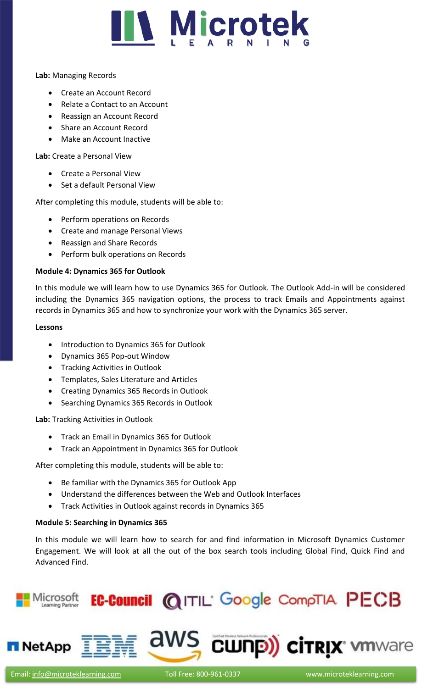

## **Lab:** Managing Records

- Create an Account Record
- Relate a Contact to an Account
- Reassign an Account Record
- Share an Account Record
- Make an Account Inactive

**Lab:** Create a Personal View

- Create a Personal View
- Set a default Personal View

After completing this module, students will be able to:

- Perform operations on Records
- Create and manage Personal Views
- Reassign and Share Records
- Perform bulk operations on Records

# **Module 4: Dynamics 365 for Outlook**

In this module we will learn how to use Dynamics 365 for Outlook. The Outlook Add-in will be considered including the Dynamics 365 navigation options, the process to track Emails and Appointments against records in Dynamics 365 and how to synchronize your work with the Dynamics 365 server.

## **Lessons**

- Introduction to Dynamics 365 for Outlook
- Dynamics 365 Pop-out Window
- Tracking Activities in Outlook
- Templates, Sales Literature and Articles
- Creating Dynamics 365 Records in Outlook
- Searching Dynamics 365 Records in Outlook

**Lab:** Tracking Activities in Outlook

- Track an Email in Dynamics 365 for Outlook
- Track an Appointment in Dynamics 365 for Outlook

After completing this module, students will be able to:

- Be familiar with the Dynamics 365 for Outlook App
- Understand the differences between the Web and Outlook Interfaces
- Track Activities in Outlook against records in Dynamics 365

# **Module 5: Searching in Dynamics 365**

In this module we will learn how to search for and find information in Microsoft Dynamics Customer Engagement. We will look at all the out of the box search tools including Global Find, Quick Find and Advanced Find.



**NetApp**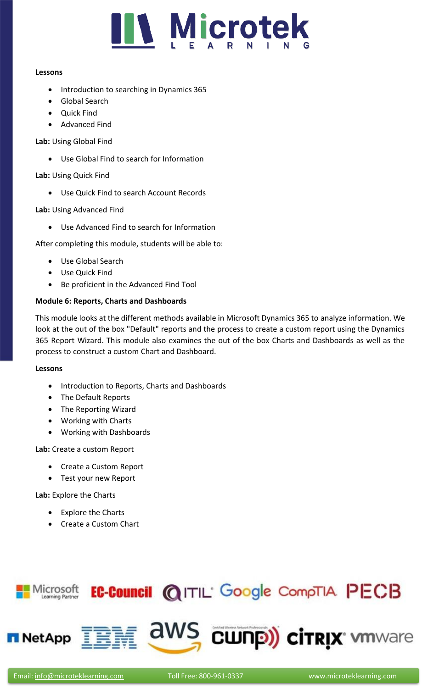

## **Lessons**

- Introduction to searching in Dynamics 365
- Global Search
- Quick Find
- Advanced Find

# **Lab:** Using Global Find

• Use Global Find to search for Information

# **Lab:** Using Quick Find

• Use Quick Find to search Account Records

# **Lab:** Using Advanced Find

Use Advanced Find to search for Information

After completing this module, students will be able to:

- Use Global Search
- Use Quick Find
- Be proficient in the Advanced Find Tool

# **Module 6: Reports, Charts and Dashboards**

This module looks at the different methods available in Microsoft Dynamics 365 to analyze information. We look at the out of the box "Default" reports and the process to create a custom report using the Dynamics 365 Report Wizard. This module also examines the out of the box Charts and Dashboards as well as the process to construct a custom Chart and Dashboard.

## **Lessons**

- Introduction to Reports, Charts and Dashboards
- The Default Reports
- The Reporting Wizard
- Working with Charts
- Working with Dashboards

**Lab:** Create a custom Report

- Create a Custom Report
- Test your new Report

# **Lab:** Explore the Charts

- Explore the Charts
- Create a Custom Chart